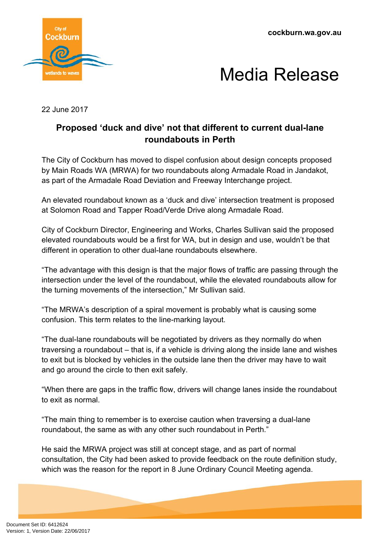**cockburn.wa.gov.au**





22 June 2017

## **Proposed 'duck and dive' not that different to current dual-lane roundabouts in Perth**

The City of Cockburn has moved to dispel confusion about design concepts proposed by Main Roads WA (MRWA) for two roundabouts along Armadale Road in Jandakot, as part of the Armadale Road Deviation and Freeway Interchange project.

An elevated roundabout known as a 'duck and dive' intersection treatment is proposed at Solomon Road and Tapper Road/Verde Drive along Armadale Road.

City of Cockburn Director, Engineering and Works, Charles Sullivan said the proposed elevated roundabouts would be a first for WA, but in design and use, wouldn't be that different in operation to other dual-lane roundabouts elsewhere.

"The advantage with this design is that the major flows of traffic are passing through the intersection under the level of the roundabout, while the elevated roundabouts allow for the turning movements of the intersection," Mr Sullivan said.

"The MRWA's description of a spiral movement is probably what is causing some confusion. This term relates to the line-marking layout.

"The dual-lane roundabouts will be negotiated by drivers as they normally do when traversing a roundabout – that is, if a vehicle is driving along the inside lane and wishes to exit but is blocked by vehicles in the outside lane then the driver may have to wait and go around the circle to then exit safely.

"When there are gaps in the traffic flow, drivers will change lanes inside the roundabout to exit as normal.

"The main thing to remember is to exercise caution when traversing a dual-lane roundabout, the same as with any other such roundabout in Perth."

He said the MRWA project was still at concept stage, and as part of normal consultation, the City had been asked to provide feedback on the route definition study, which was the reason for the report in 8 June Ordinary Council Meeting agenda.

Document Set ID: 6412624<br>Version: 1, Version Date: 22/06/2017